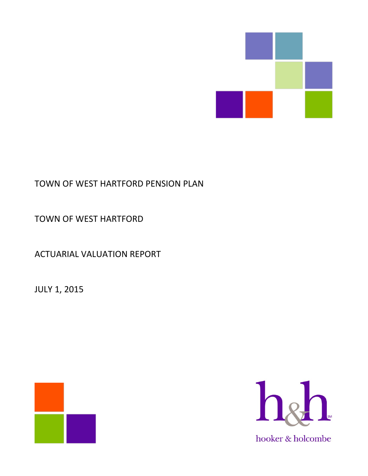

# TOWN OF WEST HARTFORD PENSION PLAN

TOWN OF WEST HARTFORD

ACTUARIAL VALUATION REPORT

JULY 1, 2015



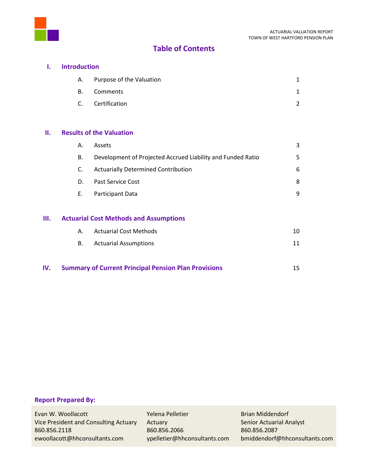



## **I. Introduction**

| A. Purpose of the Valuation |  |
|-----------------------------|--|
| B. Comments                 |  |
| C. Certification            |  |

## **II. Results of the Valuation**

| А. | <b>Assets</b>                                               | 3 |
|----|-------------------------------------------------------------|---|
| В. | Development of Projected Accrued Liability and Funded Ratio | 5 |
| C. | <b>Actuarially Determined Contribution</b>                  | 6 |
| D. | Past Service Cost                                           | 8 |
| Е. | Participant Data                                            | 9 |
|    |                                                             |   |

# **III. Actuarial Cost Methods and Assumptions**

| А. | Actuarial Cost Methods       | 10 |
|----|------------------------------|----|
| B. | <b>Actuarial Assumptions</b> |    |

**IV. Summary of Current Principal Pension Plan Provisions** 15

## **Report Prepared By:**

Evan W. Woollacott **Network Communist Communist Pelletier** Research Brian Middendorf Vice President and Consulting Actuary Actuary Actuary Senior Actuarial Analyst 860.856.2118 860.856.2066 860.856.2087 ewoollacott@hhconsultants.com ypelletier@hhconsultants.com bmiddendorf@hhconsultants.com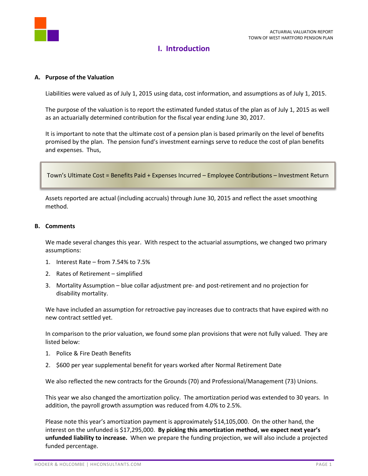

# **I. Introduction**

#### **A. Purpose of the Valuation**

Liabilities were valued as of July 1, 2015 using data, cost information, and assumptions as of July 1, 2015.

The purpose of the valuation is to report the estimated funded status of the plan as of July 1, 2015 as well as an actuarially determined contribution for the fiscal year ending June 30, 2017.

It is important to note that the ultimate cost of a pension plan is based primarily on the level of benefits promised by the plan. The pension fund's investment earnings serve to reduce the cost of plan benefits and expenses. Thus,

```
Town's Ultimate Cost = Benefits Paid + Expenses Incurred – Employee Contributions – Investment Return
```
Assets reported are actual (including accruals) through June 30, 2015 and reflect the asset smoothing method.

#### **B. Comments**

We made several changes this year. With respect to the actuarial assumptions, we changed two primary assumptions:

- 1. Interest Rate from 7.54% to 7.5%
- 2. Rates of Retirement simplified
- 3. Mortality Assumption blue collar adjustment pre- and post-retirement and no projection for disability mortality.

We have included an assumption for retroactive pay increases due to contracts that have expired with no new contract settled yet.

In comparison to the prior valuation, we found some plan provisions that were not fully valued. They are listed below:

- 1. Police & Fire Death Benefits
- 2. \$600 per year supplemental benefit for years worked after Normal Retirement Date

We also reflected the new contracts for the Grounds (70) and Professional/Management (73) Unions.

This year we also changed the amortization policy. The amortization period was extended to 30 years. In addition, the payroll growth assumption was reduced from 4.0% to 2.5%.

Please note this year's amortization payment is approximately \$14,105,000. On the other hand, the interest on the unfunded is \$17,295,000. **By picking this amortization method, we expect next year's unfunded liability to increase.** When we prepare the funding projection, we will also include a projected funded percentage.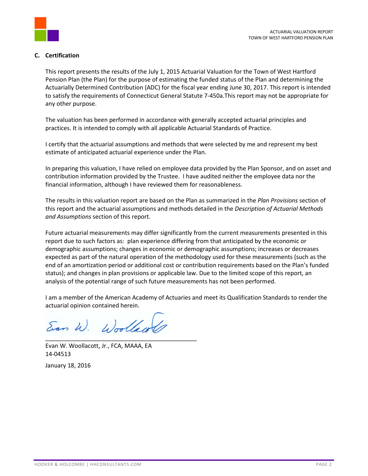

## **C. Certification**

This report presents the results of the July 1, 2015 Actuarial Valuation for the Town of West Hartford Pension Plan (the Plan) for the purpose of estimating the funded status of the Plan and determining the Actuarially Determined Contribution (ADC) for the fiscal year ending June 30, 2017. This report is intended to satisfy the requirements of Connecticut General Statute 7-450a.This report may not be appropriate for any other purpose.

The valuation has been performed in accordance with generally accepted actuarial principles and practices. It is intended to comply with all applicable Actuarial Standards of Practice.

I certify that the actuarial assumptions and methods that were selected by me and represent my best estimate of anticipated actuarial experience under the Plan.

In preparing this valuation, I have relied on employee data provided by the Plan Sponsor, and on asset and contribution information provided by the Trustee. I have audited neither the employee data nor the financial information, although I have reviewed them for reasonableness.

The results in this valuation report are based on the Plan as summarized in the *Plan Provisions* section of this report and the actuarial assumptions and methods detailed in the *Description of Actuarial Methods and Assumptions* section of this report.

Future actuarial measurements may differ significantly from the current measurements presented in this report due to such factors as: plan experience differing from that anticipated by the economic or demographic assumptions; changes in economic or demographic assumptions; increases or decreases expected as part of the natural operation of the methodology used for these measurements (such as the end of an amortization period or additional cost or contribution requirements based on the Plan's funded status); and changes in plan provisions or applicable law. Due to the limited scope of this report, an analysis of the potential range of such future measurements has not been performed.

I am a member of the American Academy of Actuaries and meet its Qualification Standards to render the actuarial opinion contained herein.

Ean W. Woollaw \_\_\_\_\_\_\_\_\_\_\_\_\_\_\_\_\_\_\_\_\_\_\_\_\_\_\_\_\_\_\_\_\_\_\_\_\_\_\_\_\_\_\_\_\_\_

Evan W. Woollacott, Jr., FCA, MAAA, EA 14-04513 January 18, 2016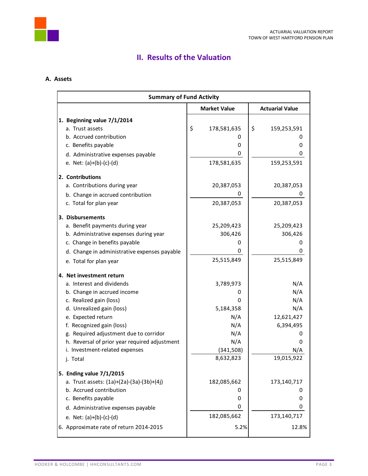

## **A. Assets**

|                                | <b>Summary of Fund Activity</b>               |    |                        |    |                        |  |  |  |  |
|--------------------------------|-----------------------------------------------|----|------------------------|----|------------------------|--|--|--|--|
|                                |                                               |    | <b>Market Value</b>    |    | <b>Actuarial Value</b> |  |  |  |  |
| 1. Beginning value 7/1/2014    |                                               |    |                        |    |                        |  |  |  |  |
| a. Trust assets                |                                               | \$ | 178,581,635            | \$ | 159,253,591            |  |  |  |  |
| b. Accrued contribution        |                                               |    | 0                      |    | 0                      |  |  |  |  |
| c. Benefits payable            |                                               |    | 0                      |    | 0                      |  |  |  |  |
|                                | d. Administrative expenses payable            |    | 0                      |    | 0                      |  |  |  |  |
| e. Net: $(a)+(b)-(c)-(d)$      |                                               |    | 178,581,635            |    | 159,253,591            |  |  |  |  |
| 2. Contributions               |                                               |    |                        |    |                        |  |  |  |  |
| a. Contributions during year   |                                               |    | 20,387,053             |    | 20,387,053             |  |  |  |  |
|                                | b. Change in accrued contribution             |    | U                      |    |                        |  |  |  |  |
| c. Total for plan year         |                                               |    | 20,387,053             |    | 20,387,053             |  |  |  |  |
| 3. Disbursements               |                                               |    |                        |    |                        |  |  |  |  |
|                                | a. Benefit payments during year               |    | 25,209,423             |    | 25,209,423             |  |  |  |  |
|                                | b. Administrative expenses during year        |    | 306,426                |    | 306,426                |  |  |  |  |
| c. Change in benefits payable  |                                               |    | 0                      |    | 0                      |  |  |  |  |
|                                | d. Change in administrative expenses payable  |    | 0                      |    | 0                      |  |  |  |  |
| e. Total for plan year         |                                               |    | 25,515,849             |    | 25,515,849             |  |  |  |  |
| 4. Net investment return       |                                               |    |                        |    |                        |  |  |  |  |
| a. Interest and dividends      |                                               |    | 3,789,973              |    | N/A                    |  |  |  |  |
| b. Change in accrued income    |                                               |    | 0                      |    | N/A                    |  |  |  |  |
| c. Realized gain (loss)        |                                               |    | 0                      |    | N/A                    |  |  |  |  |
| d. Unrealized gain (loss)      |                                               |    | 5,184,358              |    | N/A                    |  |  |  |  |
| e. Expected return             |                                               |    | N/A                    |    | 12,621,427             |  |  |  |  |
| f. Recognized gain (loss)      |                                               |    | N/A                    |    | 6,394,495              |  |  |  |  |
|                                | g. Required adjustment due to corridor        |    | N/A                    |    |                        |  |  |  |  |
|                                | h. Reversal of prior year required adjustment |    | N/A                    |    | 0                      |  |  |  |  |
| i. Investment-related expenses |                                               |    | (341,508)<br>8,632,823 |    | N/A<br>19,015,922      |  |  |  |  |
| j. Total                       |                                               |    |                        |    |                        |  |  |  |  |
| 5. Ending value 7/1/2015       |                                               |    |                        |    |                        |  |  |  |  |
|                                | a. Trust assets: (1a)+(2a)-(3a)-(3b)+(4j)     |    | 182,085,662            |    | 173,140,717            |  |  |  |  |
| b. Accrued contribution        |                                               |    | 0                      |    | 0                      |  |  |  |  |
| c. Benefits payable            |                                               |    | 0                      |    | 0                      |  |  |  |  |
|                                | d. Administrative expenses payable            |    | 0                      |    | 0                      |  |  |  |  |
| e. Net: $(a)+(b)-(c)-(d)$      |                                               |    | 182,085,662            |    | 173,140,717            |  |  |  |  |
|                                | 6. Approximate rate of return 2014-2015       |    | 5.2%                   |    | 12.8%                  |  |  |  |  |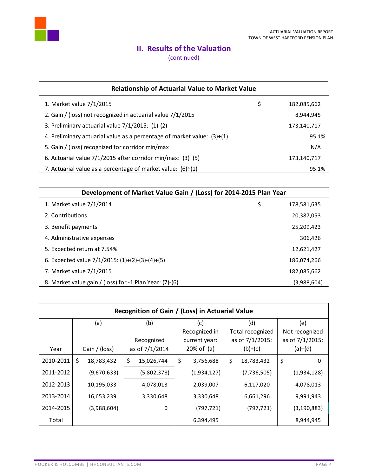

(continued)

| <b>Relationship of Actuarial Value to Market Value</b>                         |    |             |  |  |  |  |  |
|--------------------------------------------------------------------------------|----|-------------|--|--|--|--|--|
| 1. Market value 7/1/2015                                                       | \$ | 182,085,662 |  |  |  |  |  |
| 2. Gain / (loss) not recognized in actuarial value 7/1/2015                    |    | 8,944,945   |  |  |  |  |  |
| 3. Preliminary actuarial value 7/1/2015: (1)-(2)                               |    | 173,140,717 |  |  |  |  |  |
| 4. Preliminary actuarial value as a percentage of market value: $(3) \div (1)$ |    | 95.1%       |  |  |  |  |  |
| 5. Gain / (loss) recognized for corridor min/max                               |    | N/A         |  |  |  |  |  |
| 6. Actuarial value 7/1/2015 after corridor min/max: (3)+(5)                    |    | 173,140,717 |  |  |  |  |  |
| 7. Actuarial value as a percentage of market value: $(6)+(1)$                  |    | 95.1%       |  |  |  |  |  |

| Development of Market Value Gain / (Loss) for 2014-2015 Plan Year |                   |
|-------------------------------------------------------------------|-------------------|
| 1. Market value 7/1/2014                                          | \$<br>178,581,635 |
| 2. Contributions                                                  | 20,387,053        |
| 3. Benefit payments                                               | 25,209,423        |
| 4. Administrative expenses                                        | 306,426           |
| 5. Expected return at 7.54%                                       | 12,621,427        |
| 6. Expected value $7/1/2015$ : $(1)+(2)-(3)-(4)+(5)$              | 186,074,266       |
| 7. Market value 7/1/2015                                          | 182,085,662       |
| 8. Market value gain / (loss) for -1 Plan Year: (7)-(6)           | (3,988,604)       |

| Recognition of Gain / (Loss) in Actuarial Value |    |               |    |                |               |               |           |                  |                 |                |
|-------------------------------------------------|----|---------------|----|----------------|---------------|---------------|-----------|------------------|-----------------|----------------|
|                                                 |    | (a)           |    | (b)            |               | (c)           |           | (d)              |                 | (e)            |
|                                                 |    |               |    |                |               | Recognized in |           | Total recognized |                 | Not recognized |
|                                                 |    |               |    | Recognized     |               | current year: |           | as of 7/1/2015:  | as of 7/1/2015: |                |
| Year                                            |    | Gain / (loss) |    | as of 7/1/2014 | $20\%$ of (a) |               | $(b)+(c)$ |                  | (a)–(d)         |                |
| 2010-2011                                       | \$ | 18,783,432    | \$ | 15,026,744     | \$            | 3,756,688     | \$        | 18,783,432       | \$              | 0              |
| 2011-2012                                       |    | (9,670,633)   |    | (5,802,378)    |               | (1,934,127)   |           | (7, 736, 505)    |                 | (1,934,128)    |
| 2012-2013                                       |    | 10,195,033    |    | 4,078,013      |               | 2,039,007     |           | 6,117,020        |                 | 4,078,013      |
| 2013-2014                                       |    | 16,653,239    |    | 3,330,648      |               | 3,330,648     |           | 6,661,296        |                 | 9,991,943      |
| 2014-2015                                       |    | (3,988,604)   |    | 0              |               | (797, 721)    |           | (797, 721)       |                 | (3, 190, 883)  |
| Total                                           |    |               |    |                |               | 6,394,495     |           |                  |                 | 8,944,945      |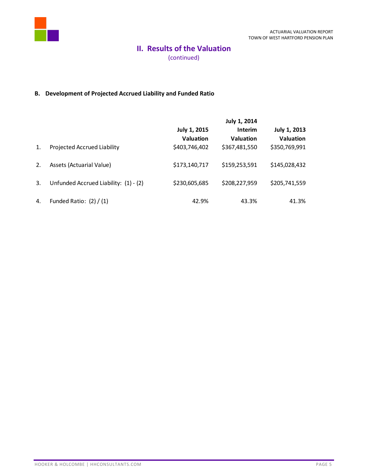

(continued)

## **B. Development of Projected Accrued Liability and Funded Ratio**

|    |                                       |                                  | July 1, 2014                       |                                  |
|----|---------------------------------------|----------------------------------|------------------------------------|----------------------------------|
|    |                                       | July 1, 2015<br><b>Valuation</b> | <b>Interim</b><br><b>Valuation</b> | July 1, 2013<br><b>Valuation</b> |
| 1. | Projected Accrued Liability           | \$403,746,402                    | \$367,481,550                      | \$350,769,991                    |
| 2. | Assets (Actuarial Value)              | \$173,140,717                    | \$159,253,591                      | \$145,028,432                    |
| 3. | Unfunded Accrued Liability: (1) - (2) | \$230,605,685                    | \$208,227,959                      | \$205,741,559                    |
| 4. | Funded Ratio: $(2) / (1)$             | 42.9%                            | 43.3%                              | 41.3%                            |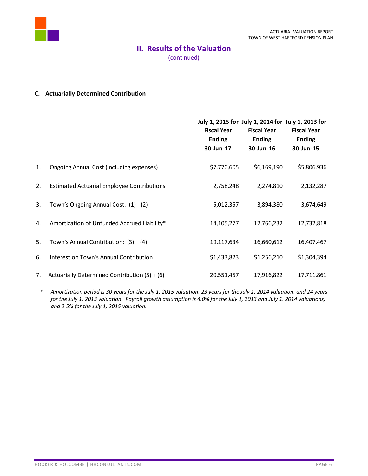

(continued)

## **C. Actuarially Determined Contribution**

|    |                                                   | July 1, 2015 for July 1, 2014 for July 1, 2013 for<br><b>Fiscal Year</b><br><b>Ending</b><br>30-Jun-17 | <b>Fiscal Year</b><br><b>Ending</b><br>30-Jun-16 | <b>Fiscal Year</b><br><b>Ending</b><br>30-Jun-15 |
|----|---------------------------------------------------|--------------------------------------------------------------------------------------------------------|--------------------------------------------------|--------------------------------------------------|
| 1. | Ongoing Annual Cost (including expenses)          | \$7,770,605                                                                                            | \$6,169,190                                      | \$5,806,936                                      |
| 2. | <b>Estimated Actuarial Employee Contributions</b> | 2,758,248                                                                                              | 2,274,810                                        | 2,132,287                                        |
| 3. | Town's Ongoing Annual Cost: (1) - (2)             | 5,012,357                                                                                              | 3,894,380                                        | 3,674,649                                        |
| 4. | Amortization of Unfunded Accrued Liability*       | 14,105,277                                                                                             | 12,766,232                                       | 12,732,818                                       |
| 5. | Town's Annual Contribution: $(3) + (4)$           | 19,117,634                                                                                             | 16,660,612                                       | 16,407,467                                       |
| 6. | Interest on Town's Annual Contribution            | \$1,433,823                                                                                            | \$1,256,210                                      | \$1,304,394                                      |
| 7. | Actuarially Determined Contribution $(5) + (6)$   | 20,551,457                                                                                             | 17,916,822                                       | 17,711,861                                       |

*\* Amortization period is 30 years for the July 1, 2015 valuation, 23 years for the July 1, 2014 valuation, and 24 years for the July 1, 2013 valuation. Payroll growth assumption is 4.0% for the July 1, 2013 and July 1, 2014 valuations, and 2.5% for the July 1, 2015 valuation.*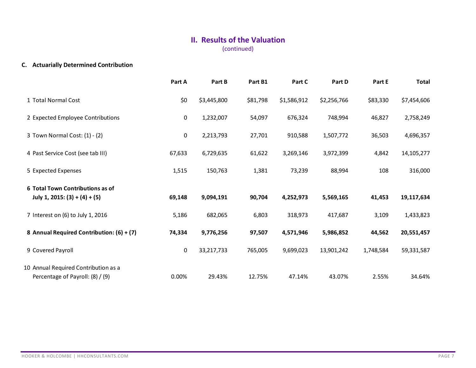# **II. Results of the Valuation** (continued)

# **C. Actuarially Determined Contribution**

|                                                                          | Part A      | Part B      | Part B1  | Part C      | Part D      | Part E    | <b>Total</b> |
|--------------------------------------------------------------------------|-------------|-------------|----------|-------------|-------------|-----------|--------------|
| 1 Total Normal Cost                                                      | \$0         | \$3,445,800 | \$81,798 | \$1,586,912 | \$2,256,766 | \$83,330  | \$7,454,606  |
| 2 Expected Employee Contributions                                        | 0           | 1,232,007   | 54,097   | 676,324     | 748,994     | 46,827    | 2,758,249    |
| 3 Town Normal Cost: (1) - (2)                                            | $\mathbf 0$ | 2,213,793   | 27,701   | 910,588     | 1,507,772   | 36,503    | 4,696,357    |
| 4 Past Service Cost (see tab III)                                        | 67,633      | 6,729,635   | 61,622   | 3,269,146   | 3,972,399   | 4,842     | 14,105,277   |
| 5 Expected Expenses                                                      | 1,515       | 150,763     | 1,381    | 73,239      | 88,994      | 108       | 316,000      |
| 6 Total Town Contributions as of<br>July 1, 2015: $(3) + (4) + (5)$      | 69,148      | 9,094,191   | 90,704   | 4,252,973   | 5,569,165   | 41,453    | 19,117,634   |
| 7 Interest on (6) to July 1, 2016                                        | 5,186       | 682,065     | 6,803    | 318,973     | 417,687     | 3,109     | 1,433,823    |
| 8 Annual Required Contribution: (6) + (7)                                | 74,334      | 9,776,256   | 97,507   | 4,571,946   | 5,986,852   | 44,562    | 20,551,457   |
| 9 Covered Payroll                                                        | 0           | 33,217,733  | 765,005  | 9,699,023   | 13,901,242  | 1,748,584 | 59,331,587   |
| 10 Annual Required Contribution as a<br>Percentage of Payroll: (8) / (9) | 0.00%       | 29.43%      | 12.75%   | 47.14%      | 43.07%      | 2.55%     | 34.64%       |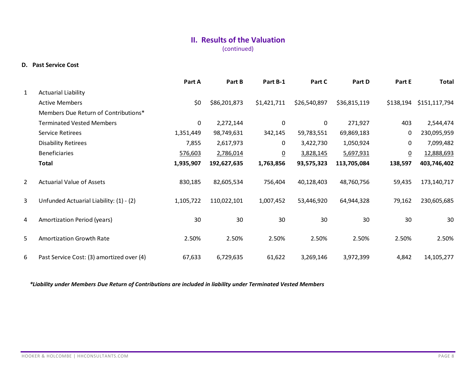(continued)

### **D. Past Service Cost**

|   |                                           | Part A      | Part B       | Part B-1        | Part C       | Part D       | Part E          | Total         |
|---|-------------------------------------------|-------------|--------------|-----------------|--------------|--------------|-----------------|---------------|
| 1 | <b>Actuarial Liability</b>                |             |              |                 |              |              |                 |               |
|   | <b>Active Members</b>                     | \$0         | \$86,201,873 | \$1,421,711     | \$26,540,897 | \$36,815,119 | \$138,194       | \$151,117,794 |
|   | Members Due Return of Contributions*      |             |              |                 |              |              |                 |               |
|   | <b>Terminated Vested Members</b>          | $\mathbf 0$ | 2,272,144    | 0               | $\mathbf 0$  | 271,927      | 403             | 2,544,474     |
|   | Service Retirees                          | 1,351,449   | 98,749,631   | 342,145         | 59,783,551   | 69,869,183   | 0               | 230,095,959   |
|   | <b>Disability Retirees</b>                | 7,855       | 2,617,973    | 0               | 3,422,730    | 1,050,924    | 0               | 7,099,482     |
|   | <b>Beneficiaries</b>                      | 576,603     | 2,786,014    | $\underline{0}$ | 3,828,145    | 5,697,931    | $\underline{0}$ | 12,888,693    |
|   | <b>Total</b>                              | 1,935,907   | 192,627,635  | 1,763,856       | 93,575,323   | 113,705,084  | 138,597         | 403,746,402   |
| 2 | <b>Actuarial Value of Assets</b>          | 830,185     | 82,605,534   | 756,404         | 40,128,403   | 48,760,756   | 59,435          | 173,140,717   |
| 3 | Unfunded Actuarial Liability: (1) - (2)   | 1,105,722   | 110,022,101  | 1,007,452       | 53,446,920   | 64,944,328   | 79,162          | 230,605,685   |
| 4 | Amortization Period (years)               | 30          | 30           | 30              | 30           | 30           | 30              | 30            |
| 5 | <b>Amortization Growth Rate</b>           | 2.50%       | 2.50%        | 2.50%           | 2.50%        | 2.50%        | 2.50%           | 2.50%         |
| 6 | Past Service Cost: (3) amortized over (4) | 67,633      | 6,729,635    | 61,622          | 3,269,146    | 3,972,399    | 4,842           | 14,105,277    |

*\*Liability under Members Due Return of Contributions are included in liability under Terminated Vested Members*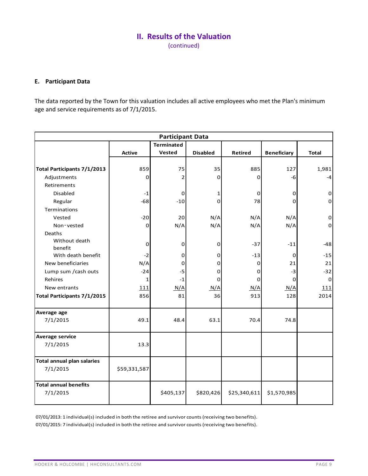(continued)

## **E. Participant Data**

The data reported by the Town for this valuation includes all active employees who met the Plan's minimum age and service requirements as of 7/1/2015.

| <b>Participant Data</b>            |               |                   |                 |                |                    |              |  |  |  |  |  |
|------------------------------------|---------------|-------------------|-----------------|----------------|--------------------|--------------|--|--|--|--|--|
|                                    |               | <b>Terminated</b> |                 |                |                    |              |  |  |  |  |  |
|                                    | <b>Active</b> | Vested            | <b>Disabled</b> | <b>Retired</b> | <b>Beneficiary</b> | <b>Total</b> |  |  |  |  |  |
|                                    |               |                   |                 |                |                    |              |  |  |  |  |  |
| <b>Total Participants 7/1/2013</b> | 859           | 75                | 35              | 885            | 127                | 1,981        |  |  |  |  |  |
| Adjustments                        | 0             | $\overline{2}$    | $\mathbf 0$     | $\Omega$       | -6                 | $-4$         |  |  |  |  |  |
| Retirements                        |               |                   |                 |                |                    |              |  |  |  |  |  |
| <b>Disabled</b>                    | $-1$          | 0                 | 1               | 0              | 0                  | $\mathbf 0$  |  |  |  |  |  |
| Regular                            | $-68$         | $-10$             | $\Omega$        | 78             | $\Omega$           | $\mathbf 0$  |  |  |  |  |  |
| Terminations                       |               |                   |                 |                |                    |              |  |  |  |  |  |
| Vested                             | $-20$         | 20                | N/A             | N/A            | N/A                | $\mathbf 0$  |  |  |  |  |  |
| Non-vested                         | 0             | N/A               | N/A             | N/A            | N/A                | $\mathbf 0$  |  |  |  |  |  |
| Deaths                             |               |                   |                 |                |                    |              |  |  |  |  |  |
| Without death                      | 0             | 0                 | $\mathbf 0$     | $-37$          | $-11$              | $-48$        |  |  |  |  |  |
| benefit                            |               |                   |                 |                |                    |              |  |  |  |  |  |
| With death benefit                 | $-2$          | $\mathbf 0$       | 0               | $-13$          | 0                  | $-15$        |  |  |  |  |  |
| New beneficiaries                  | N/A           | 0                 | 0               | 0              | 21                 | 21           |  |  |  |  |  |
| Lump sum / cash outs               | $-24$         | $-5$              | $\Omega$        | $\Omega$       | $-3$               | $-32$        |  |  |  |  |  |
| Rehires                            | $\mathbf{1}$  | $-1$              | 0               | $\Omega$       | 0                  | 0            |  |  |  |  |  |
| New entrants                       | 111           | N/A               | N/A             | N/A            | N/A                | 111          |  |  |  |  |  |
| <b>Total Participants 7/1/2015</b> | 856           | 81                | 36              | 913            | 128                | 2014         |  |  |  |  |  |
| Average age                        |               |                   |                 |                |                    |              |  |  |  |  |  |
| 7/1/2015                           | 49.1          | 48.4              | 63.1            | 70.4           | 74.8               |              |  |  |  |  |  |
| <b>Average service</b>             |               |                   |                 |                |                    |              |  |  |  |  |  |
| 7/1/2015                           | 13.3          |                   |                 |                |                    |              |  |  |  |  |  |
| <b>Total annual plan salaries</b>  |               |                   |                 |                |                    |              |  |  |  |  |  |
| 7/1/2015                           | \$59,331,587  |                   |                 |                |                    |              |  |  |  |  |  |
| <b>Total annual benefits</b>       |               |                   |                 |                |                    |              |  |  |  |  |  |
| 7/1/2015                           |               | \$405,137         | \$820,426       | \$25,340,611   | \$1,570,985        |              |  |  |  |  |  |

07/01/2013: 1 individual(s) included in both the retiree and survivor counts (receiving two benefits).

07/01/2015: 7 individual(s) included in both the retiree and survivor counts (receiving two benefits).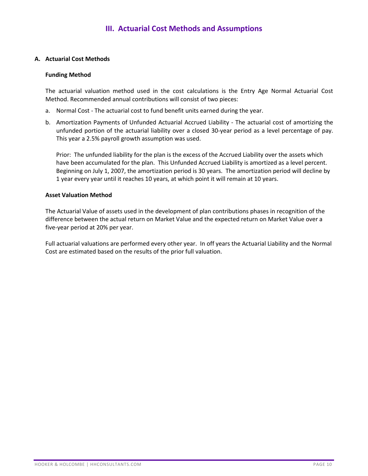### **A. Actuarial Cost Methods**

#### **Funding Method**

The actuarial valuation method used in the cost calculations is the Entry Age Normal Actuarial Cost Method. Recommended annual contributions will consist of two pieces:

- a. Normal Cost The actuarial cost to fund benefit units earned during the year.
- b. Amortization Payments of Unfunded Actuarial Accrued Liability The actuarial cost of amortizing the unfunded portion of the actuarial liability over a closed 30-year period as a level percentage of pay. This year a 2.5% payroll growth assumption was used.

Prior: The unfunded liability for the plan is the excess of the Accrued Liability over the assets which have been accumulated for the plan. This Unfunded Accrued Liability is amortized as a level percent. Beginning on July 1, 2007, the amortization period is 30 years. The amortization period will decline by 1 year every year until it reaches 10 years, at which point it will remain at 10 years.

#### **Asset Valuation Method**

The Actuarial Value of assets used in the development of plan contributions phases in recognition of the difference between the actual return on Market Value and the expected return on Market Value over a five-year period at 20% per year.

Full actuarial valuations are performed every other year. In off years the Actuarial Liability and the Normal Cost are estimated based on the results of the prior full valuation.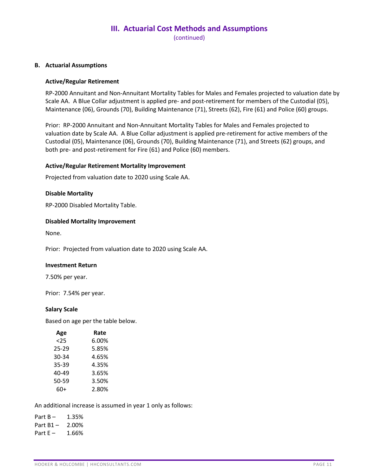(continued)

#### **B. Actuarial Assumptions**

#### **Active/Regular Retirement**

RP-2000 Annuitant and Non-Annuitant Mortality Tables for Males and Females projected to valuation date by Scale AA. A Blue Collar adjustment is applied pre- and post-retirement for members of the Custodial (05), Maintenance (06), Grounds (70), Building Maintenance (71), Streets (62), Fire (61) and Police (60) groups.

Prior: RP-2000 Annuitant and Non-Annuitant Mortality Tables for Males and Females projected to valuation date by Scale AA. A Blue Collar adjustment is applied pre-retirement for active members of the Custodial (05), Maintenance (06), Grounds (70), Building Maintenance (71), and Streets (62) groups, and both pre- and post-retirement for Fire (61) and Police (60) members.

#### **Active/Regular Retirement Mortality Improvement**

Projected from valuation date to 2020 using Scale AA.

#### **Disable Mortality**

RP-2000 Disabled Mortality Table.

#### **Disabled Mortality Improvement**

None.

Prior: Projected from valuation date to 2020 using Scale AA.

#### **Investment Return**

7.50% per year.

Prior: 7.54% per year.

#### **Salary Scale**

Based on age per the table below.

| Age   | Rate  |
|-------|-------|
| <25   | 6.00% |
| 25-29 | 5.85% |
| 30-34 | 4.65% |
| 35-39 | 4.35% |
| 40-49 | 3.65% |
| 50-59 | 3.50% |
| 60+   | 2.80% |

An additional increase is assumed in year 1 only as follows:

Part  $B - 1.35%$ Part  $B1 - 2.00\%$ Part  $E - 1.66%$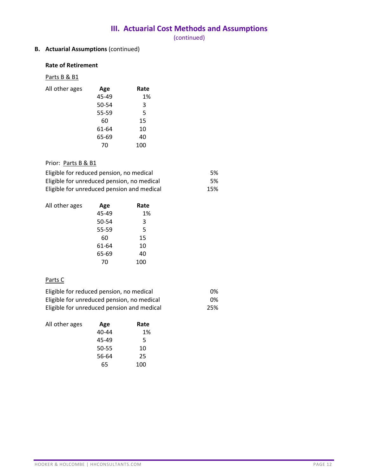(continued)

# **B. Actuarial Assumptions** (continued)

#### **Rate of Retirement**

# Parts B & B1

| Age   | Rate |
|-------|------|
| 45-49 | 1%   |
| 50-54 | 3    |
| 55-59 | 5    |
| 60    | 15   |
| 61-64 | 10   |
| 65-69 | 40   |
| 70    | 100  |
|       |      |

# Prior: Parts B & B1

| Eligible for reduced pension, no medical   | .5% |
|--------------------------------------------|-----|
| Eligible for unreduced pension, no medical | .5% |
| Eligible for unreduced pension and medical | 15% |

| All other ages | Age   | Rate |
|----------------|-------|------|
|                | 45-49 | 1%   |
|                | 50-54 | 3    |
|                | 55-59 | 5    |
|                | 60    | 15   |
|                | 61-64 | 10   |
|                | 65-69 | 40   |
|                | 70    | 100  |

## Parts C

| Eligible for reduced pension, no medical   | 0%  |
|--------------------------------------------|-----|
| Eligible for unreduced pension, no medical | 0%  |
| Eligible for unreduced pension and medical | 25% |

| All other ages | Age   | Rate |
|----------------|-------|------|
|                | 40-44 | 1%   |
|                | 45-49 | 5    |
|                | 50-55 | 10   |
|                | 56-64 | 25   |
|                | 65    | 100  |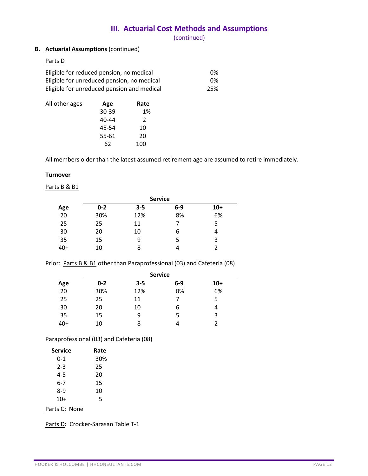(continued)

## **B. Actuarial Assumptions** (continued)

### Parts D

| Eligible for reduced pension, no medical   | 0%  |
|--------------------------------------------|-----|
| Eligible for unreduced pension, no medical | 0%  |
| Eligible for unreduced pension and medical | 25% |

| All other ages | Age   | Rate |
|----------------|-------|------|
|                | 30-39 | 1%   |
|                | 40-44 | 2    |
|                | 45-54 | 10   |
|                | 55-61 | 20   |
|                | 62    | 100  |

All members older than the latest assumed retirement age are assumed to retire immediately.

#### **Turnover**

#### Parts B & B1

|       | <b>Service</b> |         |     |       |
|-------|----------------|---------|-----|-------|
| Age   | $0 - 2$        | $3 - 5$ | 6-9 | $10+$ |
| 20    | 30%            | 12%     | 8%  | 6%    |
| 25    | 25             | 11      |     | 5     |
| 30    | 20             | 10      | 6   | 4     |
| 35    | 15             | 9       | 5   | 3     |
| $40+$ | 10             | 8       | 4   | 2     |

Prior: Parts B & B1 other than Paraprofessional (03) and Cafeteria (08)

|       |         |         | <b>Service</b> |       |
|-------|---------|---------|----------------|-------|
| Age   | $0 - 2$ | $3 - 5$ | $6-9$          | $10+$ |
| 20    | 30%     | 12%     | 8%             | 6%    |
| 25    | 25      | 11      |                | 5     |
| 30    | 20      | 10      | 6              | 4     |
| 35    | 15      | 9       | 5              | 3     |
| $40+$ | 10      | 8       |                | 2     |

Paraprofessional (03) and Cafeteria (08)

| <b>Service</b> | Rate |
|----------------|------|
| 0-1            | 30%  |
| 2-3            | 25   |
| 4-5            | 20   |
| 6-7            | 15   |
| 8-9            | 10   |
| $10+$          | 5    |

Parts C**:** None

Parts D: Crocker-Sarasan Table T-1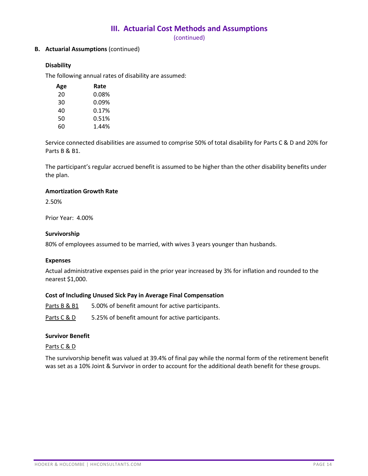(continued)

### **B. Actuarial Assumptions** (continued)

### **Disability**

The following annual rates of disability are assumed:

| Age | Rate     |
|-----|----------|
| 20  | $0.08\%$ |
| 30  | 0.09%    |
| 40  | 0.17%    |
| 50  | 0.51%    |
| 60  | 1.44%    |

Service connected disabilities are assumed to comprise 50% of total disability for Parts C & D and 20% for Parts B & B1.

The participant's regular accrued benefit is assumed to be higher than the other disability benefits under the plan.

#### **Amortization Growth Rate**

2.50%

Prior Year: 4.00%

#### **Survivorship**

80% of employees assumed to be married, with wives 3 years younger than husbands.

#### **Expenses**

Actual administrative expenses paid in the prior year increased by 3% for inflation and rounded to the nearest \$1,000.

#### **Cost of Including Unused Sick Pay in Average Final Compensation**

Parts B & B1 5.00% of benefit amount for active participants.

Parts  $C & D$  5.25% of benefit amount for active participants.

#### **Survivor Benefit**

#### Parts C & D

The survivorship benefit was valued at 39.4% of final pay while the normal form of the retirement benefit was set as a 10% Joint & Survivor in order to account for the additional death benefit for these groups.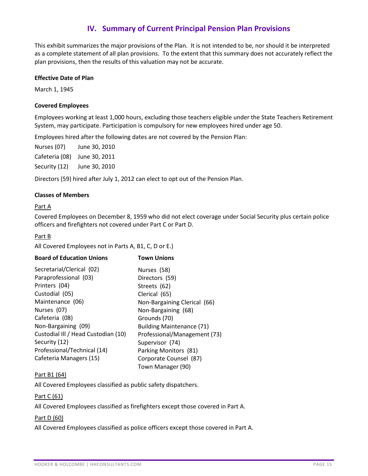This exhibit summarizes the major provisions of the Plan. It is not intended to be, nor should it be interpreted as a complete statement of all plan provisions. To the extent that this summary does not accurately reflect the plan provisions, then the results of this valuation may not be accurate.

#### **Effective Date of Plan**

March 1, 1945

#### **Covered Employees**

Employees working at least 1,000 hours, excluding those teachers eligible under the State Teachers Retirement System, may participate. Participation is compulsory for new employees hired under age 50.

Employees hired after the following dates are not covered by the Pension Plan:

Nurses (07) June 30, 2010 Cafeteria (08) June 30, 2011 Security (12) June 30, 2010

Directors (59) hired after July 1, 2012 can elect to opt out of the Pension Plan.

### **Classes of Members**

#### Part A

Covered Employees on December 8, 1959 who did not elect coverage under Social Security plus certain police officers and firefighters not covered under Part C or Part D.

#### Part B

All Covered Employees not in Parts A, B1, C, D or E.)

| <b>Board of Education Unions</b>    | <b>Town Unions</b>           |  |
|-------------------------------------|------------------------------|--|
| Secretarial/Clerical (02)           | Nurses (58)                  |  |
| Paraprofessional (03)               | Directors (59)               |  |
| Printers (04)                       | Streets (62)                 |  |
| Custodial (05)                      | Clerical (65)                |  |
| Maintenance (06)                    | Non-Bargaining Clerical (66) |  |
| Nurses (07)                         | Non-Bargaining (68)          |  |
| Cafeteria (08)                      | Grounds (70)                 |  |
| Non-Bargaining (09)                 | Building Maintenance (71)    |  |
| Custodial III / Head Custodian (10) | Professional/Management (73) |  |
| Security (12)                       | Supervisor (74)              |  |
| Professional/Technical (14)         | Parking Monitors (81)        |  |
| Cafeteria Managers (15)             | Corporate Counsel (87)       |  |
|                                     | Town Manager (90)            |  |

## Part B1 (64)

All Covered Employees classified as public safety dispatchers.

### Part C (61)

All Covered Employees classified as firefighters except those covered in Part A.

### Part D (60)

All Covered Employees classified as police officers except those covered in Part A.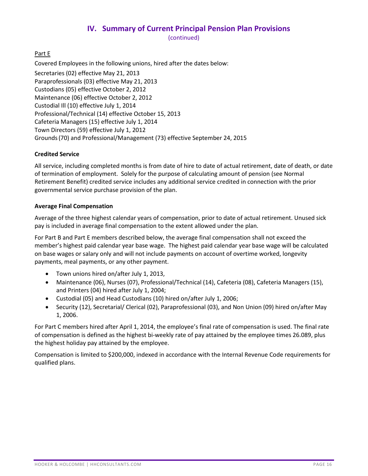(continued)

## Part E

Covered Employees in the following unions, hired after the dates below:

Secretaries (02) effective May 21, 2013 Paraprofessionals (03) effective May 21, 2013 Custodians (05) effective October 2, 2012 Maintenance (06) effective October 2, 2012 Custodial Ill (10) effective July 1, 2014 Professional/Technical (14) effective October 15, 2013 Cafeteria Managers (15) effective July 1, 2014 Town Directors (59) effective July 1, 2012 Grounds(70) and Professional/Management (73) effective September 24, 2015

### **Credited Service**

All service, including completed months is from date of hire to date of actual retirement, date of death, or date of termination of employment. Solely for the purpose of calculating amount of pension (see Normal Retirement Benefit) credited service includes any additional service credited in connection with the prior governmental service purchase provision of the plan.

#### **Average Final Compensation**

Average of the three highest calendar years of compensation, prior to date of actual retirement. Unused sick pay is included in average final compensation to the extent allowed under the plan.

For Part B and Part E members described below, the average final compensation shall not exceed the member's highest paid calendar year base wage. The highest paid calendar year base wage will be calculated on base wages or salary only and will not include payments on account of overtime worked, longevity payments, meal payments, or any other payment.

- Town unions hired on/after July 1, 2013,
- Maintenance (06), Nurses (07), Professional/Technical (14), Cafeteria (08), Cafeteria Managers (15), and Printers (04) hired after July 1, 2004;
- Custodial (05) and Head Custodians (10) hired on/after July 1, 2006;
- Security (12), Secretarial/ Clerical (02), Paraprofessional (03), and Non Union (09) hired on/after May 1, 2006.

For Part C members hired after April 1, 2014, the employee's final rate of compensation is used. The final rate of compensation is defined as the highest bi-weekly rate of pay attained by the employee times 26.089, plus the highest holiday pay attained by the employee.

Compensation is limited to \$200,000, indexed in accordance with the Internal Revenue Code requirements for qualified plans.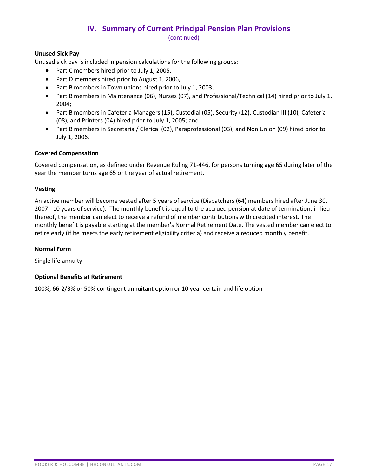### **Unused Sick Pay**

Unused sick pay is included in pension calculations for the following groups:

- Part C members hired prior to July 1, 2005,
- Part D members hired prior to August 1, 2006,
- Part B members in Town unions hired prior to July 1, 2003,
- Part B members in Maintenance (06), Nurses (07), and Professional/Technical (14) hired prior to July 1, 2004;
- Part B members in Cafeteria Managers (15), Custodial (05), Security (12), Custodian III (10), Cafeteria (08), and Printers (04) hired prior to July 1, 2005; and
- Part B members in Secretarial/ Clerical (02), Paraprofessional (03), and Non Union (09) hired prior to July 1, 2006.

### **Covered Compensation**

Covered compensation, as defined under Revenue Ruling 71-446, for persons turning age 65 during later of the year the member turns age 65 or the year of actual retirement.

### **Vesting**

An active member will become vested after 5 years of service (Dispatchers (64) members hired after June 30, 2007 - 10 years of service). The monthly benefit is equal to the accrued pension at date of termination; in lieu thereof, the member can elect to receive a refund of member contributions with credited interest. The monthly benefit is payable starting at the member's Normal Retirement Date. The vested member can elect to retire early (if he meets the early retirement eligibility criteria) and receive a reduced monthly benefit.

### **Normal Form**

Single life annuity

### **Optional Benefits at Retirement**

100%, 66-2/3% or 50% contingent annuitant option or 10 year certain and life option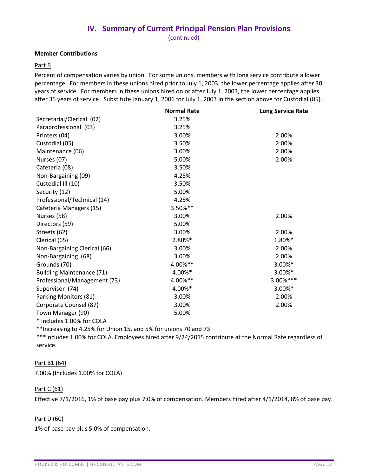#### **Member Contributions**

#### Part B

Percent of compensation varies by union. For some unions, members with long service contribute a lower percentage. For members in these unions hired prior to July 1, 2003, the lower percentage applies after 30 years of service. For members in these unions hired on or after July 1, 2003, the lower percentage applies after 35 years of service. Substitute January 1, 2006 for July 1, 2003 in the section above for Custodial (05).

|                                  | <b>Normal Rate</b> | <b>Long Service Rate</b> |
|----------------------------------|--------------------|--------------------------|
| Secretarial/Clerical (02)        | 3.25%              |                          |
| Paraprofessional (03)            | 3.25%              |                          |
| Printers (04)                    | 3.00%              | 2.00%                    |
| Custodial (05)                   | 3.50%              | 2.00%                    |
| Maintenance (06)                 | 3.00%              | 2.00%                    |
| Nurses (07)                      | 5.00%              | 2.00%                    |
| Cafeteria (08)                   | 3.50%              |                          |
| Non-Bargaining (09)              | 4.25%              |                          |
| Custodial III (10)               | 3.50%              |                          |
| Security (12)                    | 5.00%              |                          |
| Professional/Technical (14)      | 4.25%              |                          |
| Cafeteria Managers (15)          | 3.50%**            |                          |
| Nurses (58)                      | 3.00%              | 2.00%                    |
| Directors (59)                   | 5.00%              |                          |
| Streets (62)                     | 3.00%              | 2.00%                    |
| Clerical (65)                    | 2.80%*             | 1.80%*                   |
| Non-Bargaining Clerical (66)     | 3.00%              | 2.00%                    |
| Non-Bargaining (68)              | 3.00%              | 2.00%                    |
| Grounds (70)                     | 4.00%**            | 3.00%*                   |
| <b>Building Maintenance (71)</b> | 4.00%*             | 3.00%*                   |
| Professional/Management (73)     | 4.00%**            | 3.00%***                 |
| Supervisor (74)                  | 4.00%*             | 3.00%*                   |
| Parking Monitors (81)            | 3.00%              | 2.00%                    |
| Corporate Counsel (87)           | 3.00%              | 2.00%                    |
| Town Manager (90)                | 5.00%              |                          |
| * Includes 1.00% for COLA        |                    |                          |

\*\*Increasing to 4.25% for Union 15, and 5% for unions 70 and 73

\*\*\*Includes 1.00% for COLA. Employees hired after 9/24/2015 contribute at the Normal Rate regardless of service.

### Part B1 (64)

7.00% (Includes 1.00% for COLA)

### Part C (61)

Effective 7/1/2016, 1% of base pay plus 7.0% of compensation. Members hired after 4/1/2014, 8% of base pay.

### Part D (60)

1% of base pay plus 5.0% of compensation.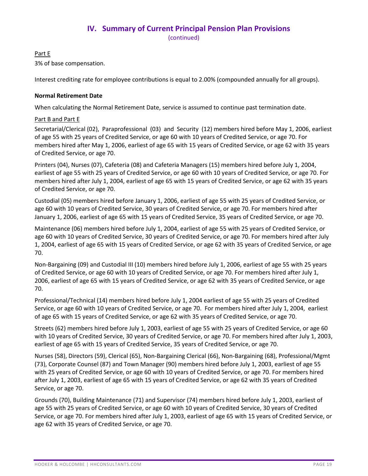## Part E

3% of base compensation.

Interest crediting rate for employee contributions is equal to 2.00% (compounded annually for all groups).

## **Normal Retirement Date**

When calculating the Normal Retirement Date, service is assumed to continue past termination date.

## Part B and Part E

Secretarial/Clerical (02), Paraprofessional (03) and Security (12) members hired before May 1, 2006, earliest of age 55 with 25 years of Credited Service, or age 60 with 10 years of Credited Service, or age 70. For members hired after May 1, 2006, earliest of age 65 with 15 years of Credited Service, or age 62 with 35 years of Credited Service, or age 70.

Printers (04), Nurses (07), Cafeteria (08) and Cafeteria Managers (15) members hired before July 1, 2004, earliest of age 55 with 25 years of Credited Service, or age 60 with 10 years of Credited Service, or age 70. For members hired after July 1, 2004, earliest of age 65 with 15 years of Credited Service, or age 62 with 35 years of Credited Service, or age 70.

Custodial (05) members hired before January 1, 2006, earliest of age 55 with 25 years of Credited Service, or age 60 with 10 years of Credited Service, 30 years of Credited Service, or age 70. For members hired after January 1, 2006, earliest of age 65 with 15 years of Credited Service, 35 years of Credited Service, or age 70.

Maintenance (06) members hired before July 1, 2004, earliest of age 55 with 25 years of Credited Service, or age 60 with 10 years of Credited Service, 30 years of Credited Service, or age 70. For members hired after July 1, 2004, earliest of age 65 with 15 years of Credited Service, or age 62 with 35 years of Credited Service, or age 70.

Non-Bargaining (09) and Custodial III (10) members hired before July 1, 2006, earliest of age 55 with 25 years of Credited Service, or age 60 with 10 years of Credited Service, or age 70. For members hired after July 1, 2006, earliest of age 65 with 15 years of Credited Service, or age 62 with 35 years of Credited Service, or age 70.

Professional/Technical (14) members hired before July 1, 2004 earliest of age 55 with 25 years of Credited Service, or age 60 with 10 years of Credited Service, or age 70. For members hired after July 1, 2004, earliest of age 65 with 15 years of Credited Service, or age 62 with 35 years of Credited Service, or age 70.

Streets (62) members hired before July 1, 2003, earliest of age 55 with 25 years of Credited Service, or age 60 with 10 years of Credited Service, 30 years of Credited Service, or age 70. For members hired after July 1, 2003, earliest of age 65 with 15 years of Credited Service, 35 years of Credited Service, or age 70.

Nurses (58), Directors (59), Clerical (65), Non-Bargaining Clerical (66), Non-Bargaining (68), Professional/Mgmt (73), Corporate Counsel (87) and Town Manager (90) members hired before July 1, 2003, earliest of age 55 with 25 years of Credited Service, or age 60 with 10 years of Credited Service, or age 70. For members hired after July 1, 2003, earliest of age 65 with 15 years of Credited Service, or age 62 with 35 years of Credited Service, or age 70.

Grounds (70), Building Maintenance (71) and Supervisor (74) members hired before July 1, 2003, earliest of age 55 with 25 years of Credited Service, or age 60 with 10 years of Credited Service, 30 years of Credited Service, or age 70. For members hired after July 1, 2003, earliest of age 65 with 15 years of Credited Service, or age 62 with 35 years of Credited Service, or age 70.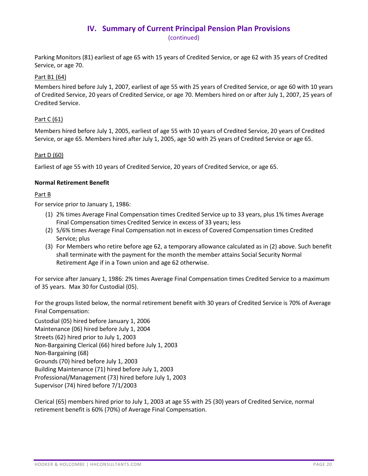Parking Monitors (81) earliest of age 65 with 15 years of Credited Service, or age 62 with 35 years of Credited Service, or age 70.

## Part B1 (64)

Members hired before July 1, 2007, earliest of age 55 with 25 years of Credited Service, or age 60 with 10 years of Credited Service, 20 years of Credited Service, or age 70. Members hired on or after July 1, 2007, 25 years of Credited Service.

## Part C (61)

Members hired before July 1, 2005, earliest of age 55 with 10 years of Credited Service, 20 years of Credited Service, or age 65. Members hired after July 1, 2005, age 50 with 25 years of Credited Service or age 65.

## Part D (60)

Earliest of age 55 with 10 years of Credited Service, 20 years of Credited Service, or age 65.

### **Normal Retirement Benefit**

### Part B

For service prior to January 1, 1986:

- (1) 2% times Average Final Compensation times Credited Service up to 33 years, plus 1% times Average Final Compensation times Credited Service in excess of 33 years; less
- (2) 5/6% times Average Final Compensation not in excess of Covered Compensation times Credited Service; plus
- (3) For Members who retire before age 62, a temporary allowance calculated as in (2) above. Such benefit shall terminate with the payment for the month the member attains Social Security Normal Retirement Age if in a Town union and age 62 otherwise.

For service after January 1, 1986: 2% times Average Final Compensation times Credited Service to a maximum of 35 years. Max 30 for Custodial (05).

For the groups listed below, the normal retirement benefit with 30 years of Credited Service is 70% of Average Final Compensation:

Custodial (05) hired before January 1, 2006 Maintenance (06) hired before July 1, 2004 Streets (62) hired prior to July 1, 2003 Non-Bargaining Clerical (66) hired before July 1, 2003 Non-Bargaining (68) Grounds (70) hired before July 1, 2003 Building Maintenance (71) hired before July 1, 2003 Professional/Management (73) hired before July 1, 2003 Supervisor (74) hired before 7/1/2003

Clerical (65) members hired prior to July 1, 2003 at age 55 with 25 (30) years of Credited Service, normal retirement benefit is 60% (70%) of Average Final Compensation.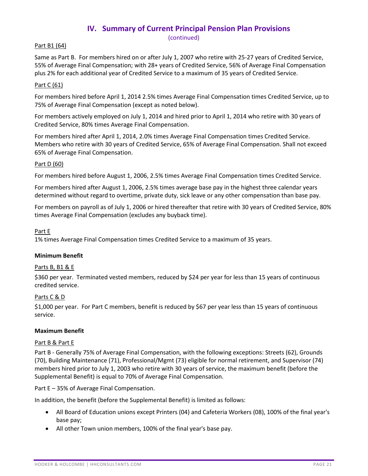(continued)

## Part B1 (64)

Same as Part B. For members hired on or after July 1, 2007 who retire with 25-27 years of Credited Service, 55% of Average Final Compensation; with 28+ years of Credited Service, 56% of Average Final Compensation plus 2% for each additional year of Credited Service to a maximum of 35 years of Credited Service.

## Part C (61)

For members hired before April 1, 2014 2.5% times Average Final Compensation times Credited Service, up to 75% of Average Final Compensation (except as noted below).

For members actively employed on July 1, 2014 and hired prior to April 1, 2014 who retire with 30 years of Credited Service, 80% times Average Final Compensation.

For members hired after April 1, 2014, 2.0% times Average Final Compensation times Credited Service. Members who retire with 30 years of Credited Service, 65% of Average Final Compensation. Shall not exceed 65% of Average Final Compensation.

## Part D (60)

For members hired before August 1, 2006, 2.5% times Average Final Compensation times Credited Service.

For members hired after August 1, 2006, 2.5% times average base pay in the highest three calendar years determined without regard to overtime, private duty, sick leave or any other compensation than base pay.

For members on payroll as of July 1, 2006 or hired thereafter that retire with 30 years of Credited Service, 80% times Average Final Compensation (excludes any buyback time).

## Part E

1% times Average Final Compensation times Credited Service to a maximum of 35 years.

### **Minimum Benefit**

### Parts B, B1 & E

\$360 per year. Terminated vested members, reduced by \$24 per year for less than 15 years of continuous credited service.

### Parts C & D

\$1,000 per year. For Part C members, benefit is reduced by \$67 per year less than 15 years of continuous service.

### **Maximum Benefit**

#### Part B & Part E

Part B - Generally 75% of Average Final Compensation, with the following exceptions: Streets (62), Grounds (70), Building Maintenance (71), Professional/Mgmt (73) eligible for normal retirement, and Supervisor (74) members hired prior to July 1, 2003 who retire with 30 years of service, the maximum benefit (before the Supplemental Benefit) is equal to 70% of Average Final Compensation.

Part E – 35% of Average Final Compensation.

In addition, the benefit (before the Supplemental Benefit) is limited as follows:

- All Board of Education unions except Printers (04) and Cafeteria Workers (08), 100% of the final year's base pay;
- All other Town union members, 100% of the final year's base pay.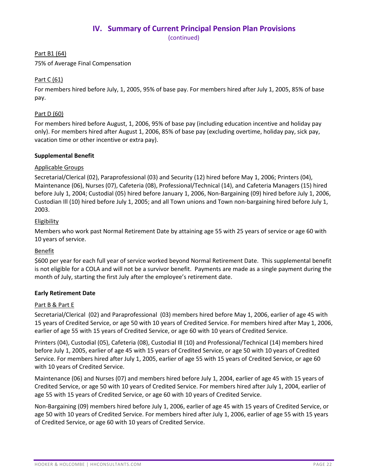Part B1 (64)

75% of Average Final Compensation

# Part C (61)

For members hired before July, 1, 2005, 95% of base pay. For members hired after July 1, 2005, 85% of base pay.

## Part D (60)

For members hired before August, 1, 2006, 95% of base pay (including education incentive and holiday pay only). For members hired after August 1, 2006, 85% of base pay (excluding overtime, holiday pay, sick pay, vacation time or other incentive or extra pay).

## **Supplemental Benefit**

## Applicable Groups

Secretarial/Clerical (02), Paraprofessional (03) and Security (12) hired before May 1, 2006; Printers (04), Maintenance (06), Nurses (07), Cafeteria (08), Professional/Technical (14), and Cafeteria Managers (15) hired before July 1, 2004; Custodial (05) hired before January 1, 2006, Non-Bargaining (09) hired before July 1, 2006, Custodian Ill (10) hired before July 1, 2005; and all Town unions and Town non-bargaining hired before July 1, 2003.

## **Eligibility**

Members who work past Normal Retirement Date by attaining age 55 with 25 years of service or age 60 with 10 years of service.

### **Benefit**

\$600 per year for each full year of service worked beyond Normal Retirement Date. This supplemental benefit is not eligible for a COLA and will not be a survivor benefit. Payments are made as a single payment during the month of July, starting the first July after the employee's retirement date.

### **Early Retirement Date**

### Part B & Part E

Secretarial/Clerical (02) and Paraprofessional (03) members hired before May 1, 2006, earlier of age 45 with 15 years of Credited Service, or age 50 with 10 years of Credited Service. For members hired after May 1, 2006, earlier of age 55 with 15 years of Credited Service, or age 60 with 10 years of Credited Service.

Printers (04), Custodial (05), Cafeteria (08), Custodial Ill (10) and Professional/Technical (14) members hired before July 1, 2005, earlier of age 45 with 15 years of Credited Service, or age 50 with 10 years of Credited Service. For members hired after July 1, 2005, earlier of age 55 with 15 years of Credited Service, or age 60 with 10 years of Credited Service.

Maintenance (06) and Nurses (07) and members hired before July 1, 2004, earlier of age 45 with 15 years of Credited Service, or age 50 with 10 years of Credited Service. For members hired after July 1, 2004, earlier of age 55 with 15 years of Credited Service, or age 60 with 10 years of Credited Service.

Non-Bargaining (09) members hired before July 1, 2006, earlier of age 45 with 15 years of Credited Service, or age 50 with 10 years of Credited Service. For members hired after July 1, 2006, earlier of age 55 with 15 years of Credited Service, or age 60 with 10 years of Credited Service.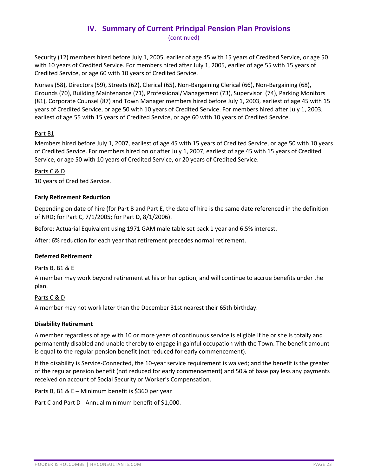Security (12) members hired before July 1, 2005, earlier of age 45 with 15 years of Credited Service, or age 50 with 10 years of Credited Service. For members hired after July 1, 2005, earlier of age 55 with 15 years of Credited Service, or age 60 with 10 years of Credited Service.

Nurses (58), Directors (59), Streets (62), Clerical (65), Non-Bargaining Clerical (66), Non-Bargaining (68), Grounds (70), Building Maintenance (71), Professional/Management (73), Supervisor (74), Parking Monitors (81), Corporate Counsel (87) and Town Manager members hired before July 1, 2003, earliest of age 45 with 15 years of Credited Service, or age 50 with 10 years of Credited Service. For members hired after July 1, 2003, earliest of age 55 with 15 years of Credited Service, or age 60 with 10 years of Credited Service.

## Part B1

Members hired before July 1, 2007, earliest of age 45 with 15 years of Credited Service, or age 50 with 10 years of Credited Service. For members hired on or after July 1, 2007, earliest of age 45 with 15 years of Credited Service, or age 50 with 10 years of Credited Service, or 20 years of Credited Service.

### Parts C & D

10 years of Credited Service.

### **Early Retirement Reduction**

Depending on date of hire (for Part B and Part E, the date of hire is the same date referenced in the definition of NRD; for Part C, 7/1/2005; for Part D, 8/1/2006).

Before: Actuarial Equivalent using 1971 GAM male table set back 1 year and 6.5% interest.

After: 6% reduction for each year that retirement precedes normal retirement.

### **Deferred Retirement**

### Parts B, B1 & E

A member may work beyond retirement at his or her option, and will continue to accrue benefits under the plan.

### Parts C & D

A member may not work later than the December 31st nearest their 65th birthday.

### **Disability Retirement**

A member regardless of age with 10 or more years of continuous service is eligible if he or she is totally and permanently disabled and unable thereby to engage in gainful occupation with the Town. The benefit amount is equal to the regular pension benefit (not reduced for early commencement).

If the disability is Service-Connected, the 10-year service requirement is waived; and the benefit is the greater of the regular pension benefit (not reduced for early commencement) and 50% of base pay less any payments received on account of Social Security or Worker's Compensation.

Parts B, B1 & E – Minimum benefit is \$360 per year

Part C and Part D - Annual minimum benefit of \$1,000.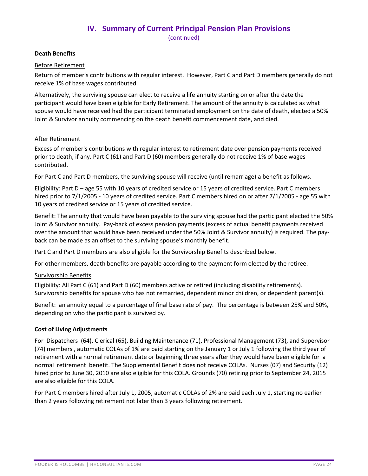### **Death Benefits**

#### Before Retirement

Return of member's contributions with regular interest. However, Part C and Part D members generally do not receive 1% of base wages contributed.

Alternatively, the surviving spouse can elect to receive a life annuity starting on or after the date the participant would have been eligible for Early Retirement. The amount of the annuity is calculated as what spouse would have received had the participant terminated employment on the date of death, elected a 50% Joint & Survivor annuity commencing on the death benefit commencement date, and died.

#### After Retirement

Excess of member's contributions with regular interest to retirement date over pension payments received prior to death, if any. Part C (61) and Part D (60) members generally do not receive 1% of base wages contributed.

For Part C and Part D members, the surviving spouse will receive (until remarriage) a benefit as follows.

Eligibility: Part D – age 55 with 10 years of credited service or 15 years of credited service. Part C members hired prior to 7/1/2005 - 10 years of credited service. Part C members hired on or after 7/1/2005 - age 55 with 10 years of credited service or 15 years of credited service.

Benefit: The annuity that would have been payable to the surviving spouse had the participant elected the 50% Joint & Survivor annuity. Pay-back of excess pension payments (excess of actual benefit payments received over the amount that would have been received under the 50% Joint & Survivor annuity) is required. The payback can be made as an offset to the surviving spouse's monthly benefit.

Part C and Part D members are also eligible for the Survivorship Benefits described below.

For other members, death benefits are payable according to the payment form elected by the retiree.

#### Survivorship Benefits

Eligibility: All Part C (61) and Part D (60) members active or retired (including disability retirements). Survivorship benefits for spouse who has not remarried, dependent minor children, or dependent parent(s).

Benefit: an annuity equal to a percentage of final base rate of pay. The percentage is between 25% and 50%, depending on who the participant is survived by.

#### **Cost of Living Adjustments**

For Dispatchers (64), Clerical (65), Building Maintenance (71), Professional Management (73), and Supervisor (74) members , automatic COLAs of 1% are paid starting on the January 1 or July 1 following the third year of retirement with a normal retirement date or beginning three years after they would have been eligible for a normal retirement benefit. The Supplemental Benefit does not receive COLAs. Nurses (07) and Security (12) hired prior to June 30, 2010 are also eligible for this COLA. Grounds (70) retiring prior to September 24, 2015 are also eligible for this COLA.

For Part C members hired after July 1, 2005, automatic COLAs of 2% are paid each July 1, starting no earlier than 2 years following retirement not later than 3 years following retirement.